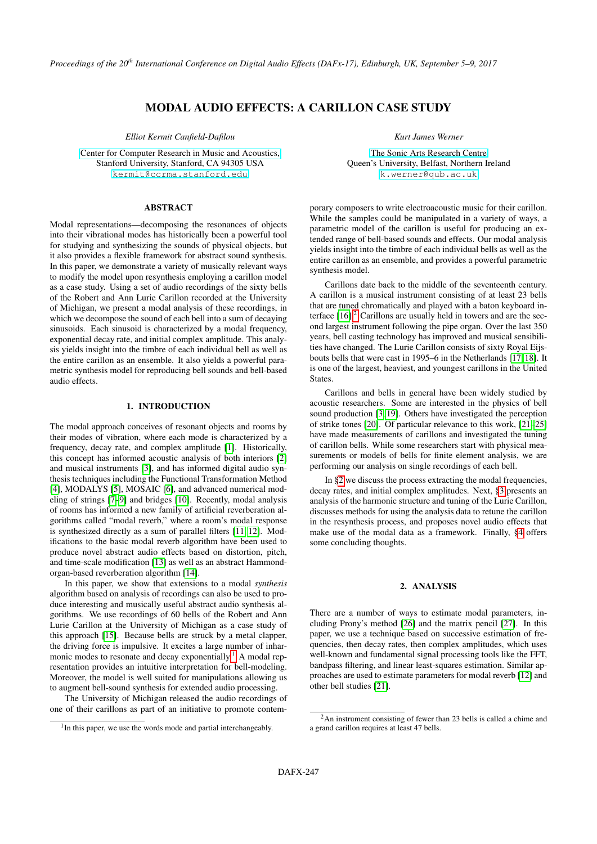*Proceedings of the 20th International Conference on Digital Audio Effects (DAFx-17), Edinburgh, UK, September 5–9, 2017*

# MODAL AUDIO EFFECTS: A CARILLON CASE STUDY

*Elliot Kermit Canfield-Dafilou*

[Center for Computer Research in Music and Acoustics,](https://ccrma.stanford.edu) Stanford University, Stanford, CA 94305 USA [kermit@ccrma.stanford.edu](mailto:kermit@ccrma.stanford.edu)

### ABSTRACT

Modal representations—decomposing the resonances of objects into their vibrational modes has historically been a powerful tool for studying and synthesizing the sounds of physical objects, but it also provides a flexible framework for abstract sound synthesis. In this paper, we demonstrate a variety of musically relevant ways to modify the model upon resynthesis employing a carillon model as a case study. Using a set of audio recordings of the sixty bells of the Robert and Ann Lurie Carillon recorded at the University of Michigan, we present a modal analysis of these recordings, in which we decompose the sound of each bell into a sum of decaying sinusoids. Each sinusoid is characterized by a modal frequency, exponential decay rate, and initial complex amplitude. This analysis yields insight into the timbre of each individual bell as well as the entire carillon as an ensemble. It also yields a powerful parametric synthesis model for reproducing bell sounds and bell-based audio effects.

## 1. INTRODUCTION

The modal approach conceives of resonant objects and rooms by their modes of vibration, where each mode is characterized by a frequency, decay rate, and complex amplitude [\[1\]](#page-6-0). Historically, this concept has informed acoustic analysis of both interiors [\[2\]](#page-6-1) and musical instruments [\[3\]](#page-6-2), and has informed digital audio synthesis techniques including the Functional Transformation Method [\[4\]](#page-6-3), MODALYS [\[5\]](#page-6-4), MOSAIC [\[6\]](#page-6-5), and advanced numerical modeling of strings [\[7–](#page-6-6)[9\]](#page-6-7) and bridges [\[10\]](#page-6-8). Recently, modal analysis of rooms has informed a new family of artificial reverberation algorithms called "modal reverb," where a room's modal response is synthesized directly as a sum of parallel filters [\[11,](#page-6-9) [12\]](#page-7-0). Modifications to the basic modal reverb algorithm have been used to produce novel abstract audio effects based on distortion, pitch, and time-scale modification [\[13\]](#page-7-1) as well as an abstract Hammondorgan-based reverberation algorithm [\[14\]](#page-7-2).

In this paper, we show that extensions to a modal *synthesis* algorithm based on analysis of recordings can also be used to produce interesting and musically useful abstract audio synthesis algorithms. We use recordings of 60 bells of the Robert and Ann Lurie Carillon at the University of Michigan as a case study of this approach [\[15\]](#page-7-3). Because bells are struck by a metal clapper, the driving force is impulsive. It excites a large number of inhar-monic modes to resonate and decay exponentially.<sup>[1](#page-0-0)</sup> A modal representation provides an intuitive interpretation for bell-modeling. Moreover, the model is well suited for manipulations allowing us to augment bell-sound synthesis for extended audio processing.

The University of Michigan released the audio recordings of one of their carillons as part of an initiative to promote contem*Kurt James Werner*

[The Sonic Arts Research Centre](http://www.sarc.qub.ac.uk/) Queen's University, Belfast, Northern Ireland [k.werner@qub.ac.uk](mailto:k.werner@qub.ac.uk)

porary composers to write electroacoustic music for their carillon. While the samples could be manipulated in a variety of ways, a parametric model of the carillon is useful for producing an extended range of bell-based sounds and effects. Our modal analysis yields insight into the timbre of each individual bells as well as the entire carillon as an ensemble, and provides a powerful parametric synthesis model.

Carillons date back to the middle of the seventeenth century. A carillon is a musical instrument consisting of at least 23 bells that are tuned chromatically and played with a baton keyboard interface  $[16]$ <sup>[2](#page-0-1)</sup> Carillons are usually held in towers and are the second largest instrument following the pipe organ. Over the last 350 years, bell casting technology has improved and musical sensibilities have changed. The Lurie Carillon consists of sixty Royal Eijsbouts bells that were cast in 1995–6 in the Netherlands [\[17,](#page-7-5) [18\]](#page-7-6). It is one of the largest, heaviest, and youngest carillons in the United States.

Carillons and bells in general have been widely studied by acoustic researchers. Some are interested in the physics of bell sound production [\[3,](#page-6-2) [19\]](#page-7-7). Others have investigated the perception of strike tones [\[20\]](#page-7-8). Of particular relevance to this work, [\[21](#page-7-9)[–25\]](#page-7-10) have made measurements of carillons and investigated the tuning of carillon bells. While some researchers start with physical measurements or models of bells for finite element analysis, we are performing our analysis on single recordings of each bell.

In [§2](#page-0-2) we discuss the process extracting the modal frequencies, decay rates, and initial complex amplitudes. Next, [§3](#page-1-0) presents an analysis of the harmonic structure and tuning of the Lurie Carillon, discusses methods for using the analysis data to retune the carillon in the resynthesis process, and proposes novel audio effects that make use of the modal data as a framework. Finally, [§4](#page-6-10) offers some concluding thoughts.

# 2. ANALYSIS

<span id="page-0-2"></span>There are a number of ways to estimate modal parameters, including Prony's method [\[26\]](#page-7-11) and the matrix pencil [\[27\]](#page-7-12). In this paper, we use a technique based on successive estimation of frequencies, then decay rates, then complex amplitudes, which uses well-known and fundamental signal processing tools like the FFT, bandpass filtering, and linear least-squares estimation. Similar approaches are used to estimate parameters for modal reverb [\[12\]](#page-7-0) and other bell studies [\[21\]](#page-7-9).

<span id="page-0-0"></span><sup>&</sup>lt;sup>1</sup>In this paper, we use the words mode and partial interchangeably.

<span id="page-0-1"></span><sup>2</sup>An instrument consisting of fewer than 23 bells is called a chime and a grand carillon requires at least 47 bells.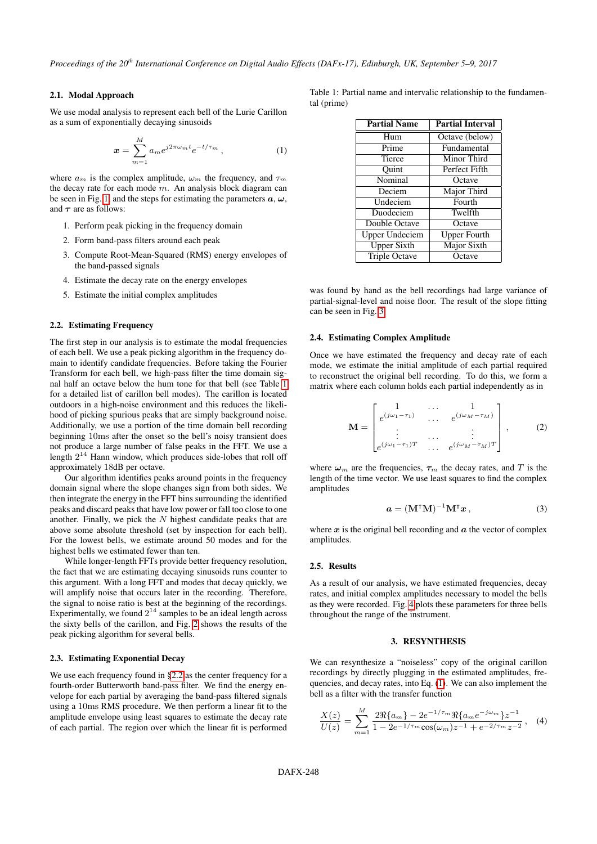# 2.1. Modal Approach

We use modal analysis to represent each bell of the Lurie Carillon as a sum of exponentially decaying sinusoids

$$
\boldsymbol{x} = \sum_{m=1}^{M} a_m e^{j2\pi\omega_m t} e^{-t/\tau_m}, \qquad (1)
$$

where  $a_m$  is the complex amplitude,  $\omega_m$  the frequency, and  $\tau_m$ the decay rate for each mode  $m$ . An analysis block diagram can be seen in Fig. [1,](#page-2-0) and the steps for estimating the parameters  $a, \omega$ , and  $\tau$  are as follows:

- 1. Perform peak picking in the frequency domain
- 2. Form band-pass filters around each peak
- 3. Compute Root-Mean-Squared (RMS) energy envelopes of the band-passed signals
- 4. Estimate the decay rate on the energy envelopes
- 5. Estimate the initial complex amplitudes

### <span id="page-1-2"></span>2.2. Estimating Frequency

The first step in our analysis is to estimate the modal frequencies of each bell. We use a peak picking algorithm in the frequency domain to identify candidate frequencies. Before taking the Fourier Transform for each bell, we high-pass filter the time domain signal half an octave below the hum tone for that bell (see Table [1](#page-1-1) for a detailed list of carillon bell modes). The carillon is located outdoors in a high-noise environment and this reduces the likelihood of picking spurious peaks that are simply background noise. Additionally, we use a portion of the time domain bell recording beginning 10ms after the onset so the bell's noisy transient does not produce a large number of false peaks in the FFT. We use a length  $2^{14}$  Hann window, which produces side-lobes that roll off approximately 18dB per octave.

Our algorithm identifies peaks around points in the frequency domain signal where the slope changes sign from both sides. We then integrate the energy in the FFT bins surrounding the identified peaks and discard peaks that have low power or fall too close to one another. Finally, we pick the  $N$  highest candidate peaks that are above some absolute threshold (set by inspection for each bell). For the lowest bells, we estimate around 50 modes and for the highest bells we estimated fewer than ten.

While longer-length FFTs provide better frequency resolution, the fact that we are estimating decaying sinusoids runs counter to this argument. With a long FFT and modes that decay quickly, we will amplify noise that occurs later in the recording. Therefore, the signal to noise ratio is best at the beginning of the recordings. Experimentally, we found  $2^{14}$  samples to be an ideal length across the sixty bells of the carillon, and Fig. [2](#page-2-1) shows the results of the peak picking algorithm for several bells.

#### 2.3. Estimating Exponential Decay

We use each frequency found in [§2.2](#page-1-2) as the center frequency for a fourth-order Butterworth band-pass filter. We find the energy envelope for each partial by averaging the band-pass filtered signals using a 10ms RMS procedure. We then perform a linear fit to the amplitude envelope using least squares to estimate the decay rate of each partial. The region over which the linear fit is performed <span id="page-1-3"></span><span id="page-1-1"></span>Table 1: Partial name and intervalic relationship to the fundamental (prime)

| <b>Partial Name</b>   | <b>Partial Interval</b> |
|-----------------------|-------------------------|
| H <sub>um</sub>       | Octave (below)          |
| Prime                 | Fundamental             |
| Tierce                | Minor Third             |
| Ouint                 | Perfect Fifth           |
| Nominal               | Octave                  |
| Deciem                | Major Third             |
| Undeciem              | Fourth                  |
| Duodeciem             | Twelfth                 |
| Double Octave         | Octave                  |
| <b>Upper Undeciem</b> | <b>Upper Fourth</b>     |
| <b>Upper Sixth</b>    | Major Sixth             |
| <b>Triple Octave</b>  | Octave                  |

was found by hand as the bell recordings had large variance of partial-signal-level and noise floor. The result of the slope fitting can be seen in Fig. [3.](#page-2-2)

# 2.4. Estimating Complex Amplitude

Once we have estimated the frequency and decay rate of each mode, we estimate the initial amplitude of each partial required to reconstruct the original bell recording. To do this, we form a matrix where each column holds each partial independently as in

$$
\mathbf{M} = \begin{bmatrix} 1 & \cdots & 1 \\ e^{(j\omega_1 - \tau_1)} & \cdots & e^{(j\omega_M - \tau_M)} \\ \vdots & \cdots & \vdots \\ e^{(j\omega_1 - \tau_1)T} & \cdots & e^{(j\omega_M - \tau_M)T} \end{bmatrix}, \quad (2)
$$

where  $\omega_m$  are the frequencies,  $\tau_m$  the decay rates, and T is the length of the time vector. We use least squares to find the complex amplitudes

$$
\mathbf{a} = (\mathbf{M}^\mathsf{T} \mathbf{M})^{-1} \mathbf{M}^\mathsf{T} \mathbf{x},\tag{3}
$$

where  $x$  is the original bell recording and  $\alpha$  the vector of complex amplitudes.

### 2.5. Results

As a result of our analysis, we have estimated frequencies, decay rates, and initial complex amplitudes necessary to model the bells as they were recorded. Fig. [4](#page-3-0) plots these parameters for three bells throughout the range of the instrument.

# 3. RESYNTHESIS

<span id="page-1-0"></span>We can resynthesize a "noiseless" copy of the original carillon recordings by directly plugging in the estimated amplitudes, frequencies, and decay rates, into Eq. [\(1\)](#page-1-3). We can also implement the bell as a filter with the transfer function

<span id="page-1-4"></span>
$$
\frac{X(z)}{U(z)} = \sum_{m=1}^{M} \frac{2\Re\{a_m\} - 2e^{-1/\tau_m}\Re\{a_m e^{-j\omega_m}\} z^{-1}}{1 - 2e^{-1/\tau_m}\cos(\omega_m) z^{-1} + e^{-2/\tau_m} z^{-2}},
$$
 (4)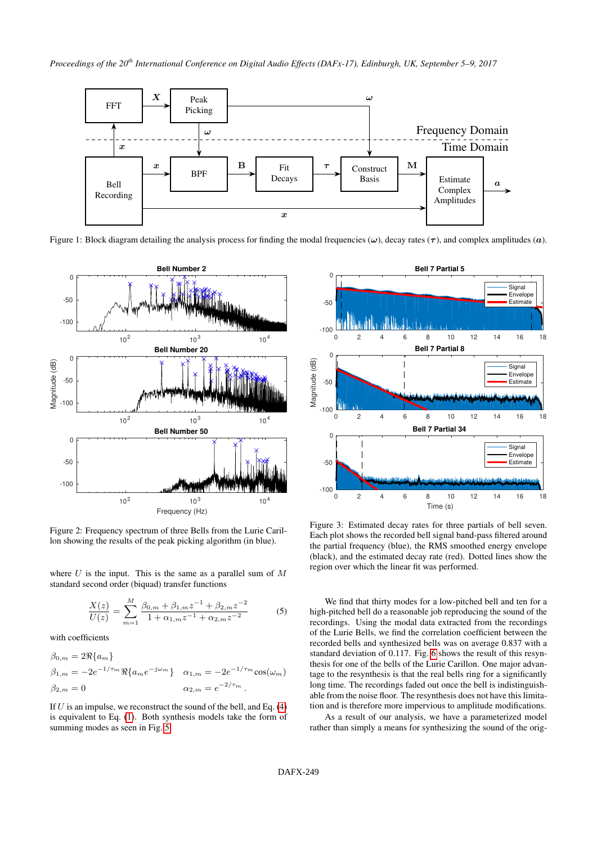

<span id="page-2-0"></span>Figure 1: Block diagram detailing the analysis process for finding the modal frequencies ( $\omega$ ), decay rates ( $\tau$ ), and complex amplitudes ( $\alpha$ ).

<span id="page-2-1"></span>

Figure 2: Frequency spectrum of three Bells from the Lurie Carillon showing the results of the peak picking algorithm (in blue).

where  $U$  is the input. This is the same as a parallel sum of  $M$ standard second order (biquad) transfer functions

$$
\frac{X(z)}{U(z)} = \sum_{m=1}^{M} \frac{\beta_{0,m} + \beta_{1,m} z^{-1} + \beta_{2,m} z^{-2}}{1 + \alpha_{1,m} z^{-1} + \alpha_{2,m} z^{-2}} \tag{5}
$$

with coefficients

$$
\beta_{0,m} = 2\Re\{a_m\}
$$
  
\n
$$
\beta_{1,m} = -2e^{-1/\tau_m}\Re\{a_m e^{-j\omega_m}\}\quad \alpha_{1,m} = -2e^{-1/\tau_m}\cos(\omega_m)
$$
  
\n
$$
\beta_{2,m} = 0
$$
  
\n
$$
\alpha_{2,m} = e^{-2/\tau_m}.
$$

If  $U$  is an impulse, we reconstruct the sound of the bell, and Eq. [\(4\)](#page-1-4) is equivalent to Eq. [\(1\)](#page-1-3). Both synthesis models take the form of summing modes as seen in Fig. [5.](#page-3-1)

<span id="page-2-2"></span>

Figure 3: Estimated decay rates for three partials of bell seven. Each plot shows the recorded bell signal band-pass filtered around the partial frequency (blue), the RMS smoothed energy envelope (black), and the estimated decay rate (red). Dotted lines show the region over which the linear fit was performed.

We find that thirty modes for a low-pitched bell and ten for a high-pitched bell do a reasonable job reproducing the sound of the recordings. Using the modal data extracted from the recordings of the Lurie Bells, we find the correlation coefficient between the recorded bells and synthesized bells was on average 0.837 with a standard deviation of 0.117. Fig. [6](#page-4-0) shows the result of this resynthesis for one of the bells of the Lurie Carillon. One major advantage to the resynthesis is that the real bells ring for a significantly long time. The recordings faded out once the bell is indistinguishable from the noise floor. The resynthesis does not have this limitation and is therefore more impervious to amplitude modifications.

As a result of our analysis, we have a parameterized model rather than simply a means for synthesizing the sound of the orig-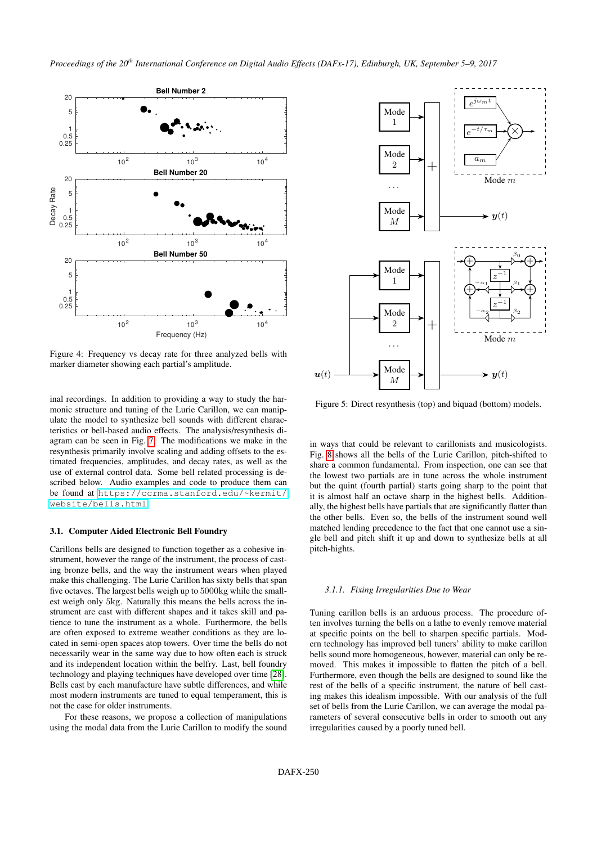<span id="page-3-0"></span>

Figure 4: Frequency vs decay rate for three analyzed bells with marker diameter showing each partial's amplitude.

inal recordings. In addition to providing a way to study the harmonic structure and tuning of the Lurie Carillon, we can manipulate the model to synthesize bell sounds with different characteristics or bell-based audio effects. The analysis/resynthesis diagram can be seen in Fig. [7.](#page-4-1) The modifications we make in the resynthesis primarily involve scaling and adding offsets to the estimated frequencies, amplitudes, and decay rates, as well as the use of external control data. Some bell related processing is described below. Audio examples and code to produce them can be found at [https://ccrma.stanford.edu/~kermit/](https://ccrma.stanford.edu/~kermit/website/bells.html) [website/bells.html](https://ccrma.stanford.edu/~kermit/website/bells.html).

# 3.1. Computer Aided Electronic Bell Foundry

Carillons bells are designed to function together as a cohesive instrument, however the range of the instrument, the process of casting bronze bells, and the way the instrument wears when played make this challenging. The Lurie Carillon has sixty bells that span five octaves. The largest bells weigh up to 5000kg while the smallest weigh only 5kg. Naturally this means the bells across the instrument are cast with different shapes and it takes skill and patience to tune the instrument as a whole. Furthermore, the bells are often exposed to extreme weather conditions as they are located in semi-open spaces atop towers. Over time the bells do not necessarily wear in the same way due to how often each is struck and its independent location within the belfry. Last, bell foundry technology and playing techniques have developed over time [\[28\]](#page-7-13). Bells cast by each manufacture have subtle differences, and while most modern instruments are tuned to equal temperament, this is not the case for older instruments.

For these reasons, we propose a collection of manipulations using the modal data from the Lurie Carillon to modify the sound

<span id="page-3-1"></span>

Figure 5: Direct resynthesis (top) and biquad (bottom) models.

in ways that could be relevant to carillonists and musicologists. Fig. [8](#page-4-2) shows all the bells of the Lurie Carillon, pitch-shifted to share a common fundamental. From inspection, one can see that the lowest two partials are in tune across the whole instrument but the quint (fourth partial) starts going sharp to the point that it is almost half an octave sharp in the highest bells. Additionally, the highest bells have partials that are significantly flatter than the other bells. Even so, the bells of the instrument sound well matched lending precedence to the fact that one cannot use a single bell and pitch shift it up and down to synthesize bells at all pitch-hights.

#### *3.1.1. Fixing Irregularities Due to Wear*

Tuning carillon bells is an arduous process. The procedure often involves turning the bells on a lathe to evenly remove material at specific points on the bell to sharpen specific partials. Modern technology has improved bell tuners' ability to make carillon bells sound more homogeneous, however, material can only be removed. This makes it impossible to flatten the pitch of a bell. Furthermore, even though the bells are designed to sound like the rest of the bells of a specific instrument, the nature of bell casting makes this idealism impossible. With our analysis of the full set of bells from the Lurie Carillon, we can average the modal parameters of several consecutive bells in order to smooth out any irregularities caused by a poorly tuned bell.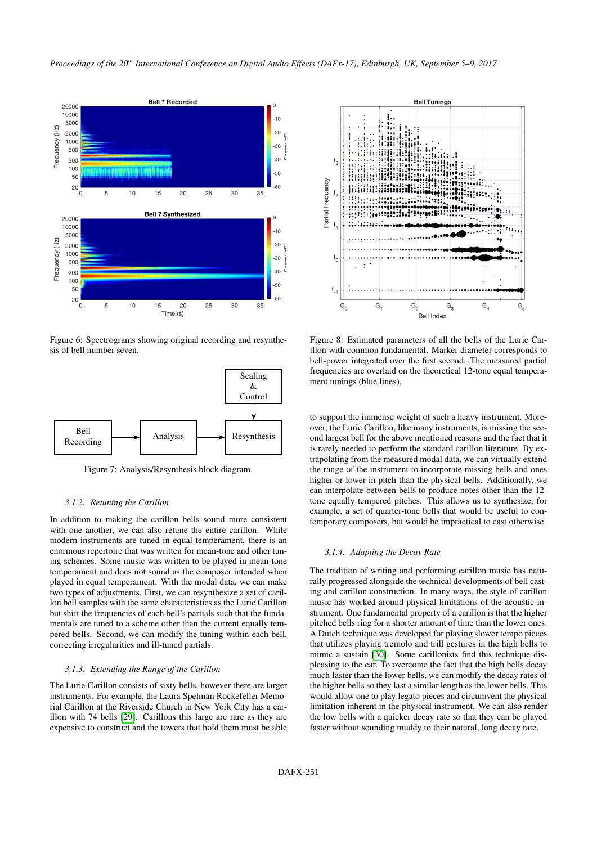<span id="page-4-0"></span>

Figure 6: Spectrograms showing original recording and resynthesis of bell number seven.

<span id="page-4-1"></span>

Figure 7: Analysis/Resynthesis block diagram.

### *3.1.2. Retuning the Carillon*

In addition to making the carillon bells sound more consistent with one another, we can also retune the entire carillon. While modern instruments are tuned in equal temperament, there is an enormous repertoire that was written for mean-tone and other tuning schemes. Some music was written to be played in mean-tone temperament and does not sound as the composer intended when played in equal temperament. With the modal data, we can make two types of adjustments. First, we can resynthesize a set of carillon bell samples with the same characteristics as the Lurie Carillon but shift the frequencies of each bell's partials such that the fundamentals are tuned to a scheme other than the current equally tempered bells. Second, we can modify the tuning within each bell, correcting irregularities and ill-tuned partials.

### *3.1.3. Extending the Range of the Carillon*

The Lurie Carillon consists of sixty bells, however there are larger instruments. For example, the Laura Spelman Rockefeller Memorial Carillon at the Riverside Church in New York City has a carillon with 74 bells [\[29\]](#page-7-14). Carillons this large are rare as they are expensive to construct and the towers that hold them must be able

<span id="page-4-2"></span>

Figure 8: Estimated parameters of all the bells of the Lurie Carillon with common fundamental. Marker diameter corresponds to bell-power integrated over the first second. The measured partial frequencies are overlaid on the theoretical 12-tone equal temperament tunings (blue lines).

to support the immense weight of such a heavy instrument. Moreover, the Lurie Carillon, like many instruments, is missing the second largest bell for the above mentioned reasons and the fact that it is rarely needed to perform the standard carillon literature. By extrapolating from the measured modal data, we can virtually extend the range of the instrument to incorporate missing bells and ones higher or lower in pitch than the physical bells. Additionally, we can interpolate between bells to produce notes other than the 12 tone equally tempered pitches. This allows us to synthesize, for example, a set of quarter-tone bells that would be useful to contemporary composers, but would be impractical to cast otherwise.

### *3.1.4. Adapting the Decay Rate*

The tradition of writing and performing carillon music has naturally progressed alongside the technical developments of bell casting and carillon construction. In many ways, the style of carillon music has worked around physical limitations of the acoustic instrument. One fundamental property of a carillon is that the higher pitched bells ring for a shorter amount of time than the lower ones. A Dutch technique was developed for playing slower tempo pieces that utilizes playing tremolo and trill gestures in the high bells to mimic a sustain [\[30\]](#page-7-15). Some carillonists find this technique displeasing to the ear. To overcome the fact that the high bells decay much faster than the lower bells, we can modify the decay rates of the higher bells so they last a similar length as the lower bells. This would allow one to play legato pieces and circumvent the physical limitation inherent in the physical instrument. We can also render the low bells with a quicker decay rate so that they can be played faster without sounding muddy to their natural, long decay rate.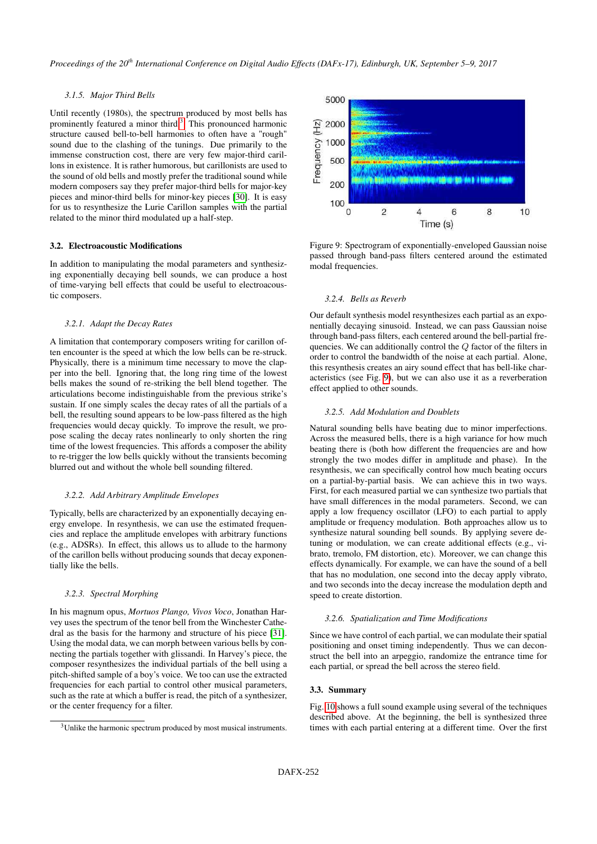# *3.1.5. Major Third Bells*

Until recently (1980s), the spectrum produced by most bells has prominently featured a minor third. $3$  This pronounced harmonic structure caused bell-to-bell harmonies to often have a "rough" sound due to the clashing of the tunings. Due primarily to the immense construction cost, there are very few major-third carillons in existence. It is rather humorous, but carillonists are used to the sound of old bells and mostly prefer the traditional sound while modern composers say they prefer major-third bells for major-key pieces and minor-third bells for minor-key pieces [\[30\]](#page-7-15). It is easy for us to resynthesize the Lurie Carillon samples with the partial related to the minor third modulated up a half-step.

# 3.2. Electroacoustic Modifications

In addition to manipulating the modal parameters and synthesizing exponentially decaying bell sounds, we can produce a host of time-varying bell effects that could be useful to electroacoustic composers.

### *3.2.1. Adapt the Decay Rates*

A limitation that contemporary composers writing for carillon often encounter is the speed at which the low bells can be re-struck. Physically, there is a minimum time necessary to move the clapper into the bell. Ignoring that, the long ring time of the lowest bells makes the sound of re-striking the bell blend together. The articulations become indistinguishable from the previous strike's sustain. If one simply scales the decay rates of all the partials of a bell, the resulting sound appears to be low-pass filtered as the high frequencies would decay quickly. To improve the result, we propose scaling the decay rates nonlinearly to only shorten the ring time of the lowest frequencies. This affords a composer the ability to re-trigger the low bells quickly without the transients becoming blurred out and without the whole bell sounding filtered.

#### *3.2.2. Add Arbitrary Amplitude Envelopes*

Typically, bells are characterized by an exponentially decaying energy envelope. In resynthesis, we can use the estimated frequencies and replace the amplitude envelopes with arbitrary functions (e.g., ADSRs). In effect, this allows us to allude to the harmony of the carillon bells without producing sounds that decay exponentially like the bells.

#### *3.2.3. Spectral Morphing*

In his magnum opus, *Mortuos Plango, Vivos Voco*, Jonathan Harvey uses the spectrum of the tenor bell from the Winchester Cathedral as the basis for the harmony and structure of his piece [\[31\]](#page-7-16). Using the modal data, we can morph between various bells by connecting the partials together with glissandi. In Harvey's piece, the composer resynthesizes the individual partials of the bell using a pitch-shifted sample of a boy's voice. We too can use the extracted frequencies for each partial to control other musical parameters, such as the rate at which a buffer is read, the pitch of a synthesizer, or the center frequency for a filter.

<span id="page-5-1"></span>

Figure 9: Spectrogram of exponentially-enveloped Gaussian noise passed through band-pass filters centered around the estimated modal frequencies.

#### *3.2.4. Bells as Reverb*

Our default synthesis model resynthesizes each partial as an exponentially decaying sinusoid. Instead, we can pass Gaussian noise through band-pass filters, each centered around the bell-partial frequencies. We can additionally control the Q factor of the filters in order to control the bandwidth of the noise at each partial. Alone, this resynthesis creates an airy sound effect that has bell-like characteristics (see Fig. [9\)](#page-5-1), but we can also use it as a reverberation effect applied to other sounds.

#### *3.2.5. Add Modulation and Doublets*

Natural sounding bells have beating due to minor imperfections. Across the measured bells, there is a high variance for how much beating there is (both how different the frequencies are and how strongly the two modes differ in amplitude and phase). In the resynthesis, we can specifically control how much beating occurs on a partial-by-partial basis. We can achieve this in two ways. First, for each measured partial we can synthesize two partials that have small differences in the modal parameters. Second, we can apply a low frequency oscillator (LFO) to each partial to apply amplitude or frequency modulation. Both approaches allow us to synthesize natural sounding bell sounds. By applying severe detuning or modulation, we can create additional effects (e.g., vibrato, tremolo, FM distortion, etc). Moreover, we can change this effects dynamically. For example, we can have the sound of a bell that has no modulation, one second into the decay apply vibrato, and two seconds into the decay increase the modulation depth and speed to create distortion.

### *3.2.6. Spatialization and Time Modifications*

Since we have control of each partial, we can modulate their spatial positioning and onset timing independently. Thus we can deconstruct the bell into an arpeggio, randomize the entrance time for each partial, or spread the bell across the stereo field.

### 3.3. Summary

Fig. [10](#page-6-11) shows a full sound example using several of the techniques described above. At the beginning, the bell is synthesized three times with each partial entering at a different time. Over the first

<span id="page-5-0"></span><sup>&</sup>lt;sup>3</sup>Unlike the harmonic spectrum produced by most musical instruments.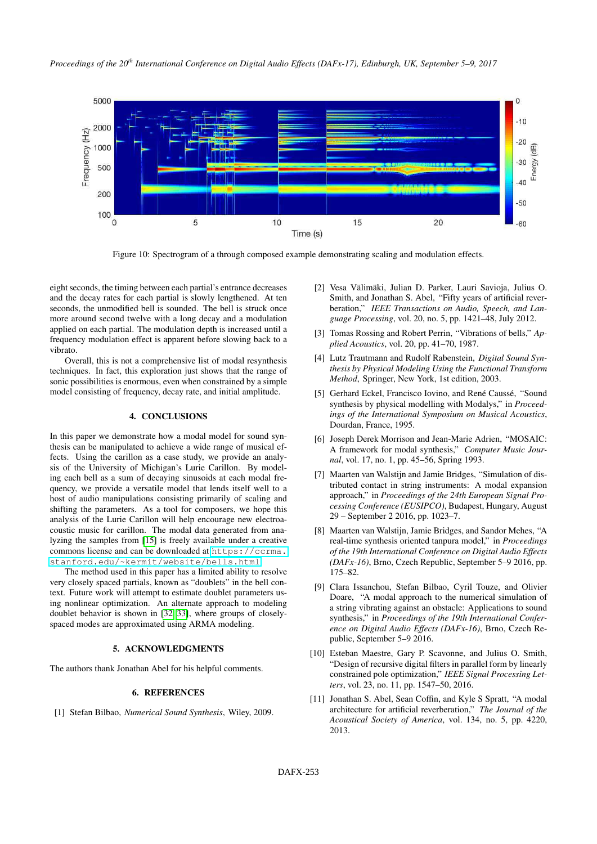

<span id="page-6-11"></span>Figure 10: Spectrogram of a through composed example demonstrating scaling and modulation effects.

eight seconds, the timing between each partial's entrance decreases and the decay rates for each partial is slowly lengthened. At ten seconds, the unmodified bell is sounded. The bell is struck once more around second twelve with a long decay and a modulation applied on each partial. The modulation depth is increased until a frequency modulation effect is apparent before slowing back to a vibrato.

Overall, this is not a comprehensive list of modal resynthesis techniques. In fact, this exploration just shows that the range of sonic possibilities is enormous, even when constrained by a simple model consisting of frequency, decay rate, and initial amplitude.

# 4. CONCLUSIONS

<span id="page-6-10"></span>In this paper we demonstrate how a modal model for sound synthesis can be manipulated to achieve a wide range of musical effects. Using the carillon as a case study, we provide an analysis of the University of Michigan's Lurie Carillon. By modeling each bell as a sum of decaying sinusoids at each modal frequency, we provide a versatile model that lends itself well to a host of audio manipulations consisting primarily of scaling and shifting the parameters. As a tool for composers, we hope this analysis of the Lurie Carillon will help encourage new electroacoustic music for carillon. The modal data generated from analyzing the samples from [\[15\]](#page-7-3) is freely available under a creative commons license and can be downloaded at [https://ccrma.](https://ccrma.stanford.edu/~kermit/website/bells.html) [stanford.edu/~kermit/website/bells.html](https://ccrma.stanford.edu/~kermit/website/bells.html).

The method used in this paper has a limited ability to resolve very closely spaced partials, known as "doublets" in the bell context. Future work will attempt to estimate doublet parameters using nonlinear optimization. An alternate approach to modeling doublet behavior is shown in [\[32,](#page-7-17) [33\]](#page-7-18), where groups of closelyspaced modes are approximated using ARMA modeling.

#### 5. ACKNOWLEDGMENTS

The authors thank Jonathan Abel for his helpful comments.

#### 6. REFERENCES

<span id="page-6-0"></span>[1] Stefan Bilbao, *Numerical Sound Synthesis*, Wiley, 2009.

- <span id="page-6-1"></span>[2] Vesa Välimäki, Julian D. Parker, Lauri Savioja, Julius O. Smith, and Jonathan S. Abel, "Fifty years of artificial reverberation," *IEEE Transactions on Audio, Speech, and Language Processing*, vol. 20, no. 5, pp. 1421–48, July 2012.
- <span id="page-6-2"></span>[3] Tomas Rossing and Robert Perrin, "Vibrations of bells," *Applied Acoustics*, vol. 20, pp. 41–70, 1987.
- <span id="page-6-3"></span>[4] Lutz Trautmann and Rudolf Rabenstein, *Digital Sound Synthesis by Physical Modeling Using the Functional Transform Method*, Springer, New York, 1st edition, 2003.
- <span id="page-6-4"></span>[5] Gerhard Eckel, Francisco Iovino, and René Caussé, "Sound synthesis by physical modelling with Modalys," in *Proceedings of the International Symposium on Musical Acoustics*, Dourdan, France, 1995.
- <span id="page-6-5"></span>[6] Joseph Derek Morrison and Jean-Marie Adrien, "MOSAIC: A framework for modal synthesis," *Computer Music Journal*, vol. 17, no. 1, pp. 45–56, Spring 1993.
- <span id="page-6-6"></span>[7] Maarten van Walstijn and Jamie Bridges, "Simulation of distributed contact in string instruments: A modal expansion approach," in *Proceedings of the 24th European Signal Processing Conference (EUSIPCO)*, Budapest, Hungary, August 29 – September 2 2016, pp. 1023–7.
- [8] Maarten van Walstijn, Jamie Bridges, and Sandor Mehes, "A real-time synthesis oriented tanpura model," in *Proceedings of the 19th International Conference on Digital Audio Effects (DAFx-16)*, Brno, Czech Republic, September 5–9 2016, pp. 175–82.
- <span id="page-6-7"></span>[9] Clara Issanchou, Stefan Bilbao, Cyril Touze, and Olivier Doare, "A modal approach to the numerical simulation of a string vibrating against an obstacle: Applications to sound synthesis," in *Proceedings of the 19th International Conference on Digital Audio Effects (DAFx-16)*, Brno, Czech Republic, September 5–9 2016.
- <span id="page-6-8"></span>[10] Esteban Maestre, Gary P. Scavonne, and Julius O. Smith, "Design of recursive digital filters in parallel form by linearly constrained pole optimization," *IEEE Signal Processing Letters*, vol. 23, no. 11, pp. 1547–50, 2016.
- <span id="page-6-9"></span>[11] Jonathan S. Abel, Sean Coffin, and Kyle S Spratt, "A modal architecture for artificial reverberation," *The Journal of the Acoustical Society of America*, vol. 134, no. 5, pp. 4220, 2013.